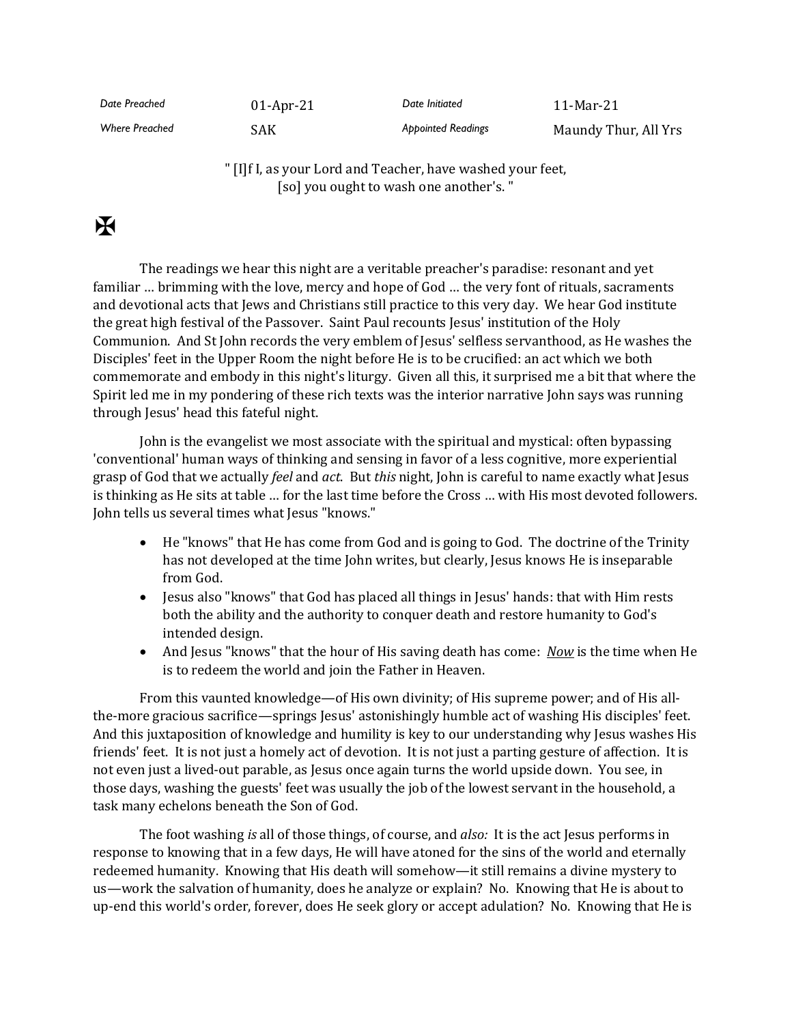*Date Preached* 01-Apr-21 *Date Initiated* 11-Mar-21 Where Preached **SAK** SAK **Appointed Readings** Maundy Thur, All Yrs

> " [I]f I, as your Lord and Teacher, have washed your feet, [so] you ought to wash one another's."

## $\mathbf F$

The readings we hear this night are a veritable preacher's paradise: resonant and yet familiar … brimming with the love, mercy and hope of God … the very font of rituals, sacraments and devotional acts that Jews and Christians still practice to this very day. We hear God institute the great high festival of the Passover. Saint Paul recounts Jesus' institution of the Holy Communion. And St John records the very emblem of Jesus' selfless servanthood, as He washes the Disciples' feet in the Upper Room the night before He is to be crucified: an act which we both commemorate and embody in this night's liturgy. Given all this, it surprised me a bit that where the Spirit led me in my pondering of these rich texts was the interior narrative John says was running through Jesus' head this fateful night.

John is the evangelist we most associate with the spiritual and mystical: often bypassing 'conventional' human ways of thinking and sensing in favor of a less cognitive, more experiential grasp of God that we actually *feel* and *act*. But *this* night, John is careful to name exactly what Jesus is thinking as He sits at table … for the last time before the Cross … with His most devoted followers. John tells us several times what Jesus "knows."

- He "knows" that He has come from God and is going to God. The doctrine of the Trinity has not developed at the time John writes, but clearly, Jesus knows He is inseparable from God.
- Jesus also "knows" that God has placed all things in Jesus' hands: that with Him rests both the ability and the authority to conquer death and restore humanity to God's intended design.
- And Jesus "knows" that the hour of His saving death has come: *Now* is the time when He is to redeem the world and join the Father in Heaven.

From this vaunted knowledge—of His own divinity; of His supreme power; and of His allthe-more gracious sacrifice—springs Jesus' astonishingly humble act of washing His disciples' feet. And this juxtaposition of knowledge and humility is key to our understanding why Jesus washes His friends' feet. It is not just a homely act of devotion. It is not just a parting gesture of affection. It is not even just a lived-out parable, as Jesus once again turns the world upside down. You see, in those days, washing the guests' feet was usually the job of the lowest servant in the household, a task many echelons beneath the Son of God.

The foot washing *is* all of those things, of course, and *also:* It is the act Jesus performs in response to knowing that in a few days, He will have atoned for the sins of the world and eternally redeemed humanity. Knowing that His death will somehow—it still remains a divine mystery to us—work the salvation of humanity, does he analyze or explain? No. Knowing that He is about to up-end this world's order, forever, does He seek glory or accept adulation? No. Knowing that He is